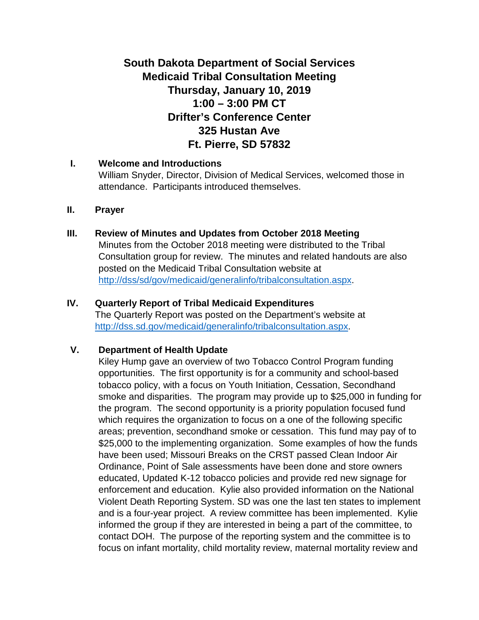# **South Dakota Department of Social Services Medicaid Tribal Consultation Meeting Thursday, January 10, 2019 1:00 – 3:00 PM CT Drifter's Conference Center 325 Hustan Ave Ft. Pierre, SD 57832**

#### **I. Welcome and Introductions**

William Snyder, Director, Division of Medical Services, welcomed those in attendance. Participants introduced themselves.

#### **II. Prayer**

#### **III. Review of Minutes and Updates from October 2018 Meeting**

Minutes from the October 2018 meeting were distributed to the Tribal Consultation group for review. The minutes and related handouts are also posted on the Medicaid Tribal Consultation website at [http://dss/sd/gov/medicaid/generalinfo/tribalconsultation.aspx.](http://dss/sd/gov/medicaid/generalinfo/tribalconsultation.aspx)

#### **IV. Quarterly Report of Tribal Medicaid Expenditures**

The Quarterly Report was posted on the Department's website at [http://dss.sd.gov/medicaid/generalinfo/tribalconsultation.aspx.](http://dss.sd.gov/medicaid/generalinfo/tribalconsultation.aspx)

### **V. Department of Health Update**

Kiley Hump gave an overview of two Tobacco Control Program funding opportunities. The first opportunity is for a community and school-based tobacco policy, with a focus on Youth Initiation, Cessation, Secondhand smoke and disparities. The program may provide up to \$25,000 in funding for the program. The second opportunity is a priority population focused fund which requires the organization to focus on a one of the following specific areas; prevention, secondhand smoke or cessation. This fund may pay of to \$25,000 to the implementing organization. Some examples of how the funds have been used; Missouri Breaks on the CRST passed Clean Indoor Air Ordinance, Point of Sale assessments have been done and store owners educated, Updated K-12 tobacco policies and provide red new signage for enforcement and education. Kylie also provided information on the National Violent Death Reporting System. SD was one the last ten states to implement and is a four-year project. A review committee has been implemented. Kylie informed the group if they are interested in being a part of the committee, to contact DOH. The purpose of the reporting system and the committee is to focus on infant mortality, child mortality review, maternal mortality review and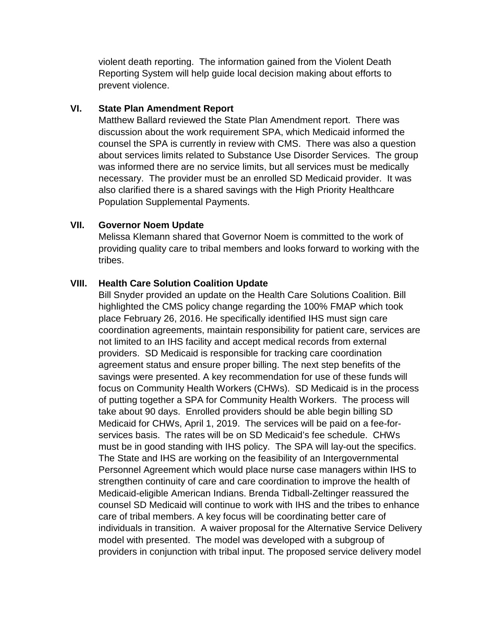violent death reporting. The information gained from the Violent Death Reporting System will help guide local decision making about efforts to prevent violence.

#### **VI. State Plan Amendment Report**

Matthew Ballard reviewed the State Plan Amendment report. There was discussion about the work requirement SPA, which Medicaid informed the counsel the SPA is currently in review with CMS. There was also a question about services limits related to Substance Use Disorder Services. The group was informed there are no service limits, but all services must be medically necessary. The provider must be an enrolled SD Medicaid provider. It was also clarified there is a shared savings with the High Priority Healthcare Population Supplemental Payments.

#### **VII. Governor Noem Update**

Melissa Klemann shared that Governor Noem is committed to the work of providing quality care to tribal members and looks forward to working with the tribes.

#### **VIII. Health Care Solution Coalition Update**

Bill Snyder provided an update on the Health Care Solutions Coalition. Bill highlighted the CMS policy change regarding the 100% FMAP which took place February 26, 2016. He specifically identified IHS must sign care coordination agreements, maintain responsibility for patient care, services are not limited to an IHS facility and accept medical records from external providers. SD Medicaid is responsible for tracking care coordination agreement status and ensure proper billing. The next step benefits of the savings were presented. A key recommendation for use of these funds will focus on Community Health Workers (CHWs). SD Medicaid is in the process of putting together a SPA for Community Health Workers. The process will take about 90 days. Enrolled providers should be able begin billing SD Medicaid for CHWs, April 1, 2019. The services will be paid on a fee-forservices basis. The rates will be on SD Medicaid's fee schedule. CHWs must be in good standing with IHS policy. The SPA will lay-out the specifics. The State and IHS are working on the feasibility of an Intergovernmental Personnel Agreement which would place nurse case managers within IHS to strengthen continuity of care and care coordination to improve the health of Medicaid-eligible American Indians. Brenda Tidball-Zeltinger reassured the counsel SD Medicaid will continue to work with IHS and the tribes to enhance care of tribal members. A key focus will be coordinating better care of individuals in transition. A waiver proposal for the Alternative Service Delivery model with presented. The model was developed with a subgroup of providers in conjunction with tribal input. The proposed service delivery model